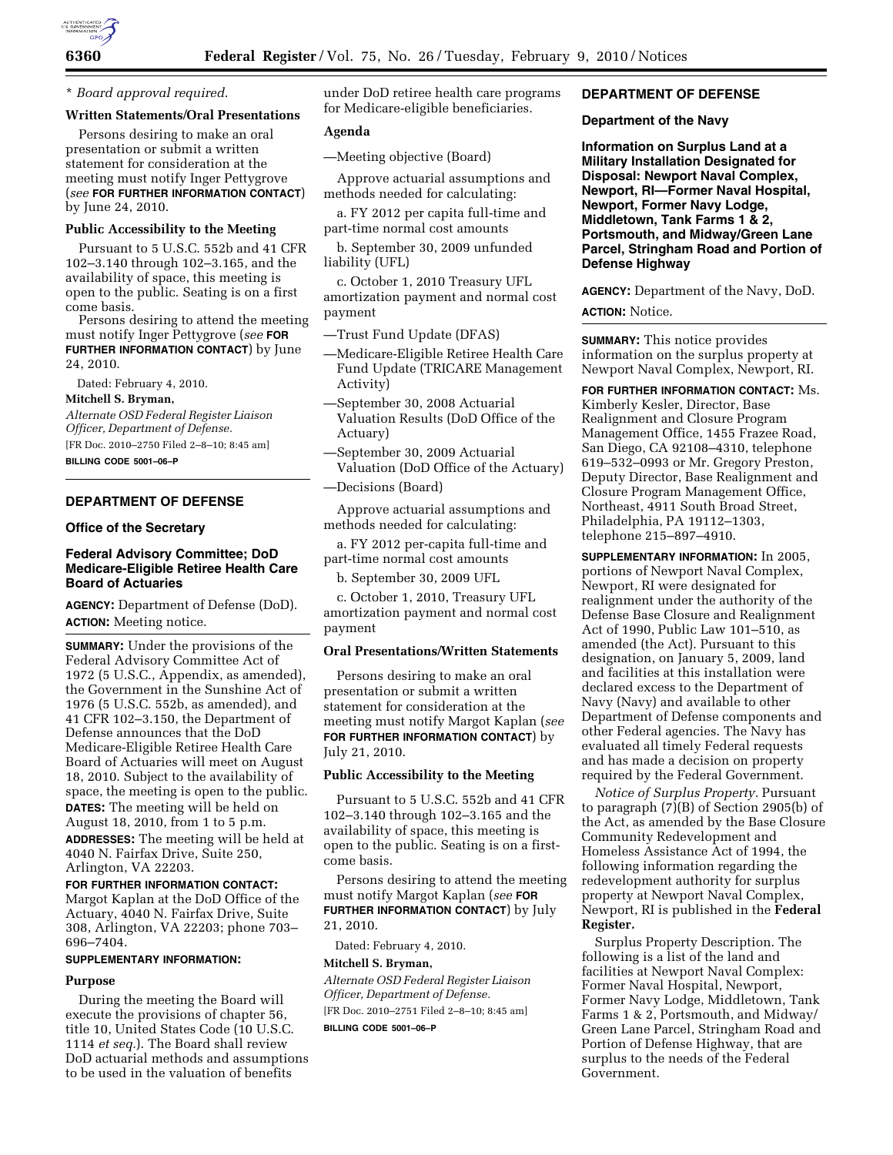

\* *Board approval required*.

# **Written Statements/Oral Presentations**

Persons desiring to make an oral presentation or submit a written statement for consideration at the meeting must notify Inger Pettygrove (*see* **FOR FURTHER INFORMATION CONTACT**) by June 24, 2010.

## **Public Accessibility to the Meeting**

Pursuant to 5 U.S.C. 552b and 41 CFR 102–3.140 through 102–3.165, and the availability of space, this meeting is open to the public. Seating is on a first come basis.

Persons desiring to attend the meeting must notify Inger Pettygrove (*see* **FOR FURTHER INFORMATION CONTACT**) by June 24, 2010.

Dated: February 4, 2010.

**Mitchell S. Bryman,** 

*Alternate OSD Federal Register Liaison Officer, Department of Defense.*  [FR Doc. 2010–2750 Filed 2–8–10; 8:45 am]

**BILLING CODE 5001–06–P** 

# **DEPARTMENT OF DEFENSE**

## **Office of the Secretary**

## **Federal Advisory Committee; DoD Medicare-Eligible Retiree Health Care Board of Actuaries**

**AGENCY:** Department of Defense (DoD). **ACTION:** Meeting notice.

**SUMMARY:** Under the provisions of the Federal Advisory Committee Act of 1972 (5 U.S.C., Appendix, as amended), the Government in the Sunshine Act of 1976 (5 U.S.C. 552b, as amended), and 41 CFR 102–3.150, the Department of Defense announces that the DoD Medicare-Eligible Retiree Health Care Board of Actuaries will meet on August 18, 2010. Subject to the availability of space, the meeting is open to the public. **DATES:** The meeting will be held on August 18, 2010, from 1 to 5 p.m. **ADDRESSES:** The meeting will be held at 4040 N. Fairfax Drive, Suite 250, Arlington, VA 22203.

#### **FOR FURTHER INFORMATION CONTACT:**

Margot Kaplan at the DoD Office of the Actuary, 4040 N. Fairfax Drive, Suite 308, Arlington, VA 22203; phone 703– 696–7404.

#### **SUPPLEMENTARY INFORMATION:**

#### **Purpose**

During the meeting the Board will execute the provisions of chapter 56, title 10, United States Code (10 U.S.C. 1114 *et seq.*). The Board shall review DoD actuarial methods and assumptions to be used in the valuation of benefits

under DoD retiree health care programs for Medicare-eligible beneficiaries.

# **Agenda**

—Meeting objective (Board)

Approve actuarial assumptions and methods needed for calculating:

a. FY 2012 per capita full-time and part-time normal cost amounts

b. September 30, 2009 unfunded liability (UFL)

c. October 1, 2010 Treasury UFL amortization payment and normal cost payment

—Trust Fund Update (DFAS)

- —Medicare-Eligible Retiree Health Care Fund Update (TRICARE Management Activity)
- —September 30, 2008 Actuarial Valuation Results (DoD Office of the Actuary)
- —September 30, 2009 Actuarial Valuation (DoD Office of the Actuary)
- —Decisions (Board)

Approve actuarial assumptions and methods needed for calculating:

a. FY 2012 per-capita full-time and part-time normal cost amounts

b. September 30, 2009 UFL

c. October 1, 2010, Treasury UFL amortization payment and normal cost payment

## **Oral Presentations/Written Statements**

Persons desiring to make an oral presentation or submit a written statement for consideration at the meeting must notify Margot Kaplan (*see*  **FOR FURTHER INFORMATION CONTACT**) by July 21, 2010.

### **Public Accessibility to the Meeting**

Pursuant to 5 U.S.C. 552b and 41 CFR 102–3.140 through 102–3.165 and the availability of space, this meeting is open to the public. Seating is on a firstcome basis.

Persons desiring to attend the meeting must notify Margot Kaplan (*see* **FOR FURTHER INFORMATION CONTACT**) by July 21, 2010.

Dated: February 4, 2010.

## **Mitchell S. Bryman,**

*Alternate OSD Federal Register Liaison Officer, Department of Defense.*  [FR Doc. 2010–2751 Filed 2–8–10; 8:45 am] **BILLING CODE 5001–06–P** 

## **DEPARTMENT OF DEFENSE**

### **Department of the Navy**

**Information on Surplus Land at a Military Installation Designated for Disposal: Newport Naval Complex, Newport, RI—Former Naval Hospital, Newport, Former Navy Lodge, Middletown, Tank Farms 1 & 2, Portsmouth, and Midway/Green Lane Parcel, Stringham Road and Portion of Defense Highway** 

**AGENCY:** Department of the Navy, DoD.

### **ACTION:** Notice.

**SUMMARY:** This notice provides information on the surplus property at Newport Naval Complex, Newport, RI.

**FOR FURTHER INFORMATION CONTACT:** Ms. Kimberly Kesler, Director, Base Realignment and Closure Program Management Office, 1455 Frazee Road, San Diego, CA 92108–4310, telephone 619–532–0993 or Mr. Gregory Preston, Deputy Director, Base Realignment and Closure Program Management Office, Northeast, 4911 South Broad Street, Philadelphia, PA 19112–1303, telephone 215–897–4910.

**SUPPLEMENTARY INFORMATION:** In 2005, portions of Newport Naval Complex, Newport, RI were designated for realignment under the authority of the Defense Base Closure and Realignment Act of 1990, Public Law 101–510, as amended (the Act). Pursuant to this designation, on January 5, 2009, land and facilities at this installation were declared excess to the Department of Navy (Navy) and available to other Department of Defense components and other Federal agencies. The Navy has evaluated all timely Federal requests and has made a decision on property required by the Federal Government.

*Notice of Surplus Property.* Pursuant to paragraph (7)(B) of Section 2905(b) of the Act, as amended by the Base Closure Community Redevelopment and Homeless Assistance Act of 1994, the following information regarding the redevelopment authority for surplus property at Newport Naval Complex, Newport, RI is published in the **Federal Register.** 

Surplus Property Description. The following is a list of the land and facilities at Newport Naval Complex: Former Naval Hospital, Newport, Former Navy Lodge, Middletown, Tank Farms 1 & 2, Portsmouth, and Midway/ Green Lane Parcel, Stringham Road and Portion of Defense Highway, that are surplus to the needs of the Federal Government.